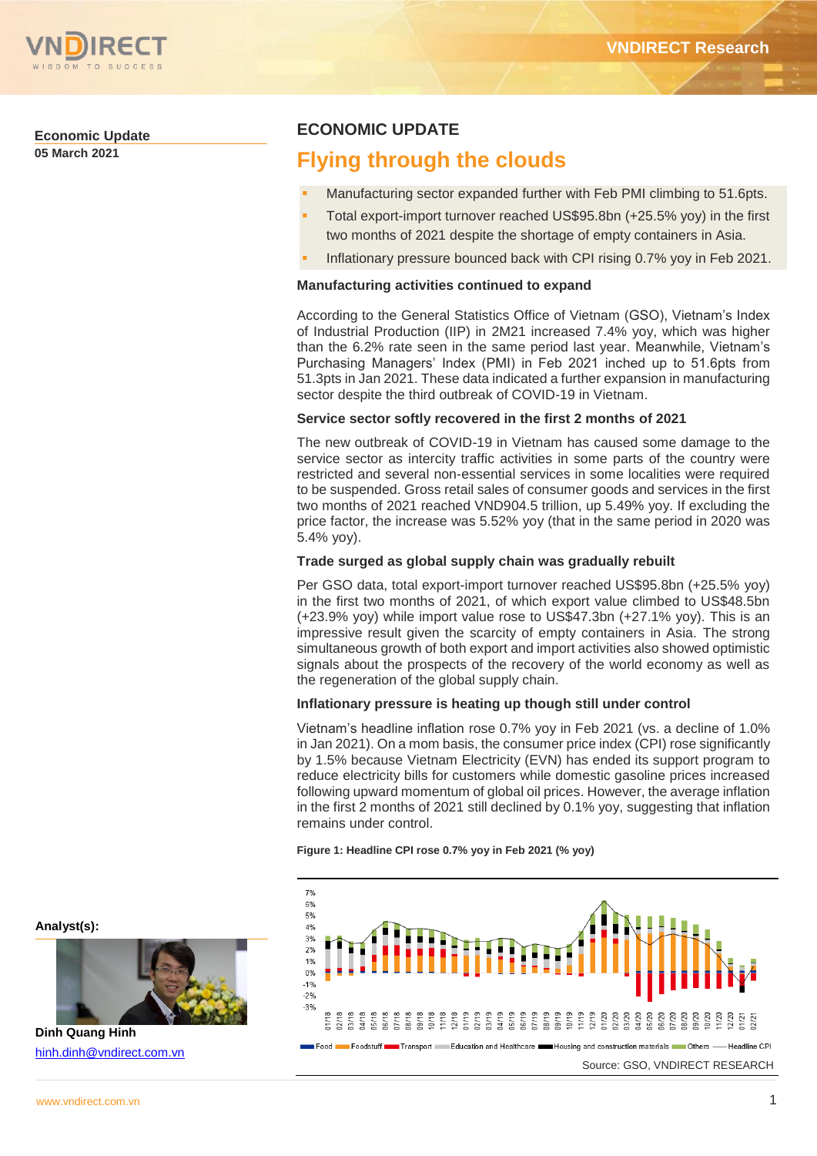

# **Economic Update**

**05 March 2021**

# **ECONOMIC UPDATE**

# **Flying through the clouds**

- Manufacturing sector expanded further with Feb PMI climbing to 51.6pts.
- Total export-import turnover reached US\$95.8bn (+25.5% yoy) in the first two months of 2021 despite the shortage of empty containers in Asia.
- Inflationary pressure bounced back with CPI rising 0.7% yoy in Feb 2021.

# **Manufacturing activities continued to expand**

According to the General Statistics Office of Vietnam (GSO), Vietnam's Index of Industrial Production (IIP) in 2M21 increased 7.4% yoy, which was higher than the 6.2% rate seen in the same period last year. Meanwhile, Vietnam's Purchasing Managers' Index (PMI) in Feb 2021 inched up to 51.6pts from 51.3pts in Jan 2021. These data indicated a further expansion in manufacturing sector despite the third outbreak of COVID-19 in Vietnam.

## **Service sector softly recovered in the first 2 months of 2021**

The new outbreak of COVID-19 in Vietnam has caused some damage to the service sector as intercity traffic activities in some parts of the country were restricted and several non-essential services in some localities were required to be suspended. Gross retail sales of consumer goods and services in the first two months of 2021 reached VND904.5 trillion, up 5.49% yoy. If excluding the price factor, the increase was 5.52% yoy (that in the same period in 2020 was 5.4% yoy).

## **Trade surged as global supply chain was gradually rebuilt**

Per GSO data, total export-import turnover reached US\$95.8bn (+25.5% yoy) in the first two months of 2021, of which export value climbed to US\$48.5bn (+23.9% yoy) while import value rose to US\$47.3bn (+27.1% yoy). This is an impressive result given the scarcity of empty containers in Asia. The strong simultaneous growth of both export and import activities also showed optimistic signals about the prospects of the recovery of the world economy as well as the regeneration of the global supply chain.

#### **Inflationary pressure is heating up though still under control**

Vietnam's headline inflation rose 0.7% yoy in Feb 2021 (vs. a decline of 1.0% in Jan 2021). On a mom basis, the consumer price index (CPI) rose significantly by 1.5% because Vietnam Electricity (EVN) has ended its support program to reduce electricity bills for customers while domestic gasoline prices increased following upward momentum of global oil prices. However, the average inflation in the first 2 months of 2021 still declined by 0.1% yoy, suggesting that inflation remains under control.

**Figure 1: Headline CPI rose 0.7% yoy in Feb 2021 (% yoy)** 



**Analyst(s):**



**Dinh Quang Hinh** [hinh.dinh@vndirect.com.vn](mailto:hinh.dinh@vndirect.com.vn)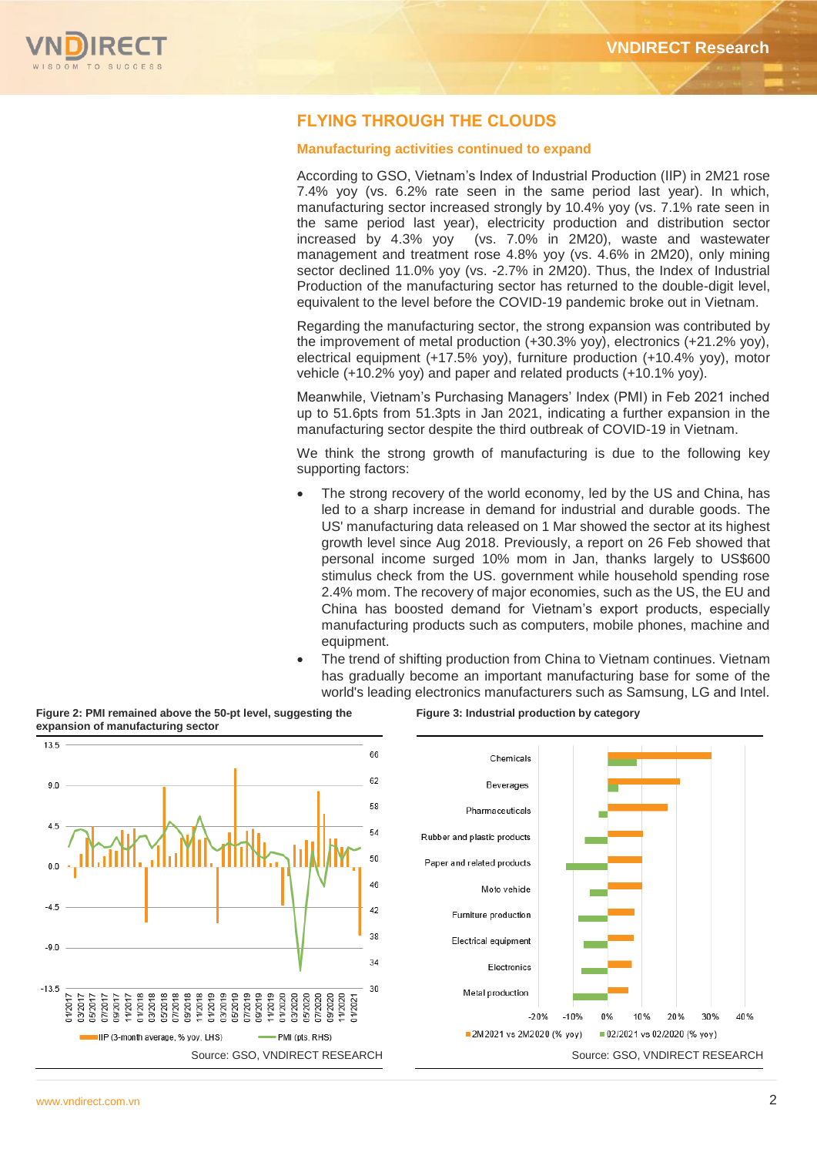

# **FLYING THROUGH THE CLOUDS**

# **Manufacturing activities continued to expand**

According to GSO, Vietnam's Index of Industrial Production (IIP) in 2M21 rose 7.4% yoy (vs. 6.2% rate seen in the same period last year). In which, manufacturing sector increased strongly by 10.4% yoy (vs. 7.1% rate seen in the same period last year), electricity production and distribution sector increased by 4.3% yoy (vs. 7.0% in 2M20), waste and wastewater management and treatment rose 4.8% yoy (vs. 4.6% in 2M20), only mining sector declined 11.0% yoy (vs. -2.7% in 2M20). Thus, the Index of Industrial Production of the manufacturing sector has returned to the double-digit level, equivalent to the level before the COVID-19 pandemic broke out in Vietnam.

Regarding the manufacturing sector, the strong expansion was contributed by the improvement of metal production (+30.3% yoy), electronics (+21.2% yoy), electrical equipment (+17.5% yoy), furniture production (+10.4% yoy), motor vehicle (+10.2% yoy) and paper and related products (+10.1% yoy).

Meanwhile, Vietnam's Purchasing Managers' Index (PMI) in Feb 2021 inched up to 51.6pts from 51.3pts in Jan 2021, indicating a further expansion in the manufacturing sector despite the third outbreak of COVID-19 in Vietnam.

We think the strong growth of manufacturing is due to the following key supporting factors:

- The strong recovery of the world economy, led by the US and China, has led to a sharp increase in demand for industrial and durable goods. The US' manufacturing data released on 1 Mar showed the sector at its highest growth level since Aug 2018. Previously, a report on 26 Feb showed that personal income surged 10% mom in Jan, thanks largely to US\$600 stimulus check from the US. government while household spending rose 2.4% mom. The recovery of major economies, such as the US, the EU and China has boosted demand for Vietnam's export products, especially manufacturing products such as computers, mobile phones, machine and equipment.
- The trend of shifting production from China to Vietnam continues. Vietnam has gradually become an important manufacturing base for some of the world's leading electronics manufacturers such as Samsung, LG and Intel.



**Figure 2: PMI remained above the 50-pt level, suggesting the**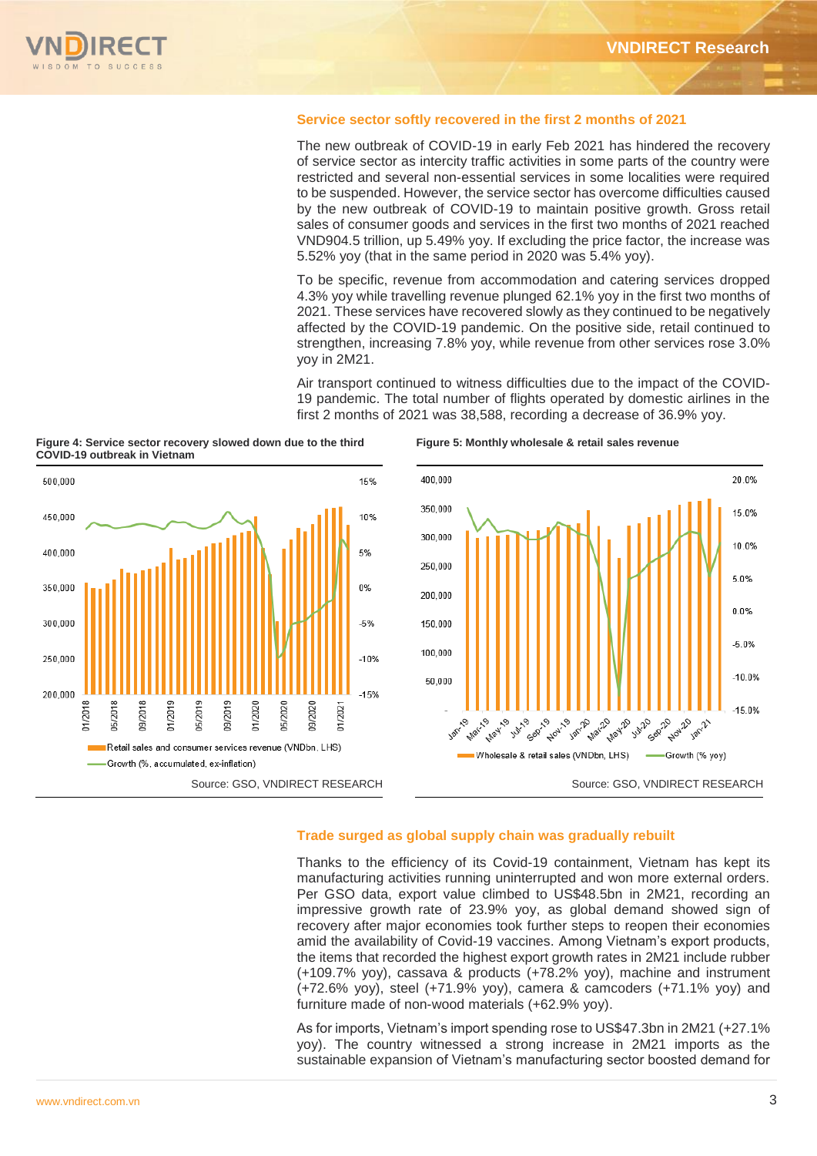## **Service sector softly recovered in the first 2 months of 2021**

The new outbreak of COVID-19 in early Feb 2021 has hindered the recovery of service sector as intercity traffic activities in some parts of the country were restricted and several non-essential services in some localities were required to be suspended. However, the service sector has overcome difficulties caused by the new outbreak of COVID-19 to maintain positive growth. Gross retail sales of consumer goods and services in the first two months of 2021 reached VND904.5 trillion, up 5.49% yoy. If excluding the price factor, the increase was 5.52% yoy (that in the same period in 2020 was 5.4% yoy).

To be specific, revenue from accommodation and catering services dropped 4.3% yoy while travelling revenue plunged 62.1% yoy in the first two months of 2021. These services have recovered slowly as they continued to be negatively affected by the COVID-19 pandemic. On the positive side, retail continued to strengthen, increasing 7.8% yoy, while revenue from other services rose 3.0% yoy in 2M21.

Air transport continued to witness difficulties due to the impact of the COVID-19 pandemic. The total number of flights operated by domestic airlines in the first 2 months of 2021 was 38,588, recording a decrease of 36.9% yoy.

**Figure 4: Service sector recovery slowed down due to the third COVID-19 outbreak in Vietnam**







# **Trade surged as global supply chain was gradually rebuilt**

Thanks to the efficiency of its Covid-19 containment, Vietnam has kept its manufacturing activities running uninterrupted and won more external orders. Per GSO data, export value climbed to US\$48.5bn in 2M21, recording an impressive growth rate of 23.9% yoy, as global demand showed sign of recovery after major economies took further steps to reopen their economies amid the availability of Covid-19 vaccines. Among Vietnam's export products, the items that recorded the highest export growth rates in 2M21 include rubber (+109.7% yoy), cassava & products (+78.2% yoy), machine and instrument (+72.6% yoy), steel (+71.9% yoy), camera & camcoders (+71.1% yoy) and furniture made of non-wood materials (+62.9% yoy).

As for imports, Vietnam's import spending rose to US\$47.3bn in 2M21 (+27.1% yoy). The country witnessed a strong increase in 2M21 imports as the sustainable expansion of Vietnam's manufacturing sector boosted demand for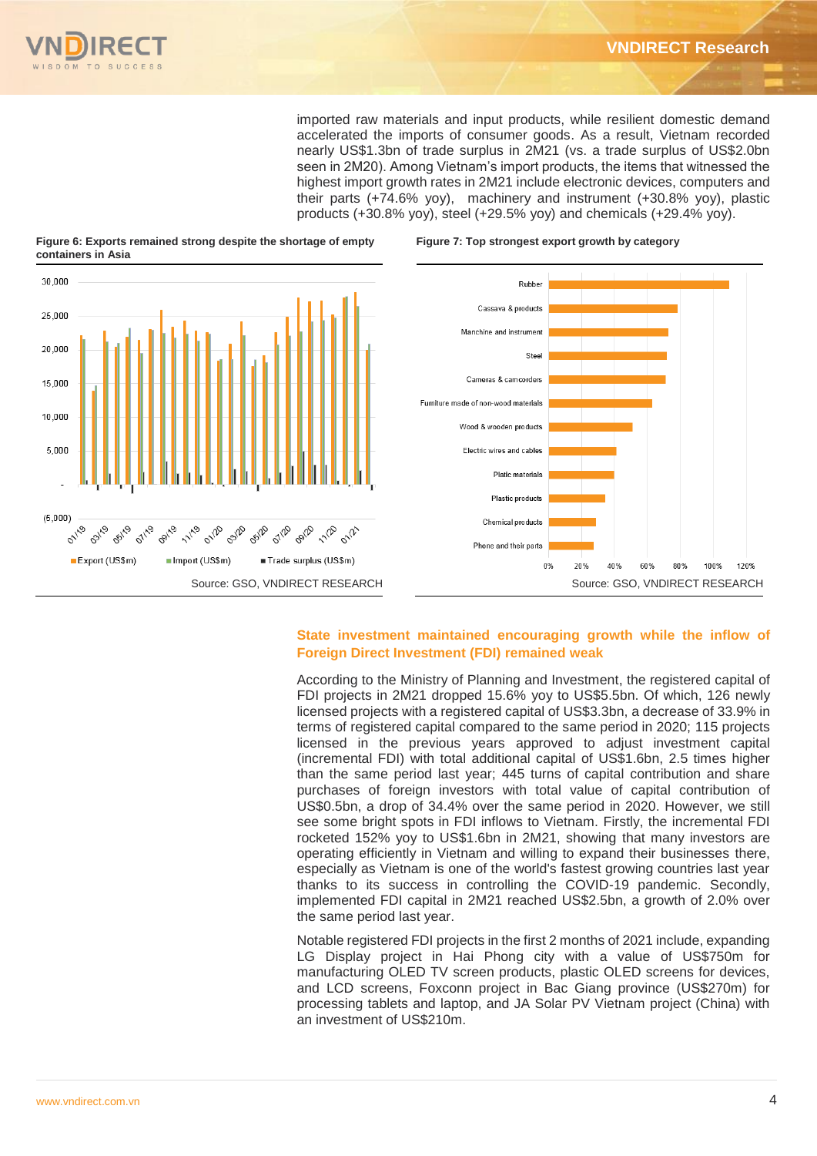

imported raw materials and input products, while resilient domestic demand accelerated the imports of consumer goods. As a result, Vietnam recorded nearly US\$1.3bn of trade surplus in 2M21 (vs. a trade surplus of US\$2.0bn seen in 2M20). Among Vietnam's import products, the items that witnessed the highest import growth rates in 2M21 include electronic devices, computers and their parts (+74.6% yoy), machinery and instrument (+30.8% yoy), plastic products (+30.8% yoy), steel (+29.5% yoy) and chemicals (+29.4% yoy).

**Figure 7: Top strongest export growth by category** 



#### **Figure 6: Exports remained strong despite the shortage of empty containers in Asia**

# **State investment maintained encouraging growth while the inflow of Foreign Direct Investment (FDI) remained weak**

According to the Ministry of Planning and Investment, the registered capital of FDI projects in 2M21 dropped 15.6% yoy to US\$5.5bn. Of which, 126 newly licensed projects with a registered capital of US\$3.3bn, a decrease of 33.9% in terms of registered capital compared to the same period in 2020; 115 projects licensed in the previous years approved to adjust investment capital (incremental FDI) with total additional capital of US\$1.6bn, 2.5 times higher than the same period last year; 445 turns of capital contribution and share purchases of foreign investors with total value of capital contribution of US\$0.5bn, a drop of 34.4% over the same period in 2020. However, we still see some bright spots in FDI inflows to Vietnam. Firstly, the incremental FDI rocketed 152% yoy to US\$1.6bn in 2M21, showing that many investors are operating efficiently in Vietnam and willing to expand their businesses there, especially as Vietnam is one of the world's fastest growing countries last year thanks to its success in controlling the COVID-19 pandemic. Secondly, implemented FDI capital in 2M21 reached US\$2.5bn, a growth of 2.0% over the same period last year.

Notable registered FDI projects in the first 2 months of 2021 include, expanding LG Display project in Hai Phong city with a value of US\$750m for manufacturing OLED TV screen products, plastic OLED screens for devices, and LCD screens, Foxconn project in Bac Giang province (US\$270m) for processing tablets and laptop, and JA Solar PV Vietnam project (China) with an investment of US\$210m.

120%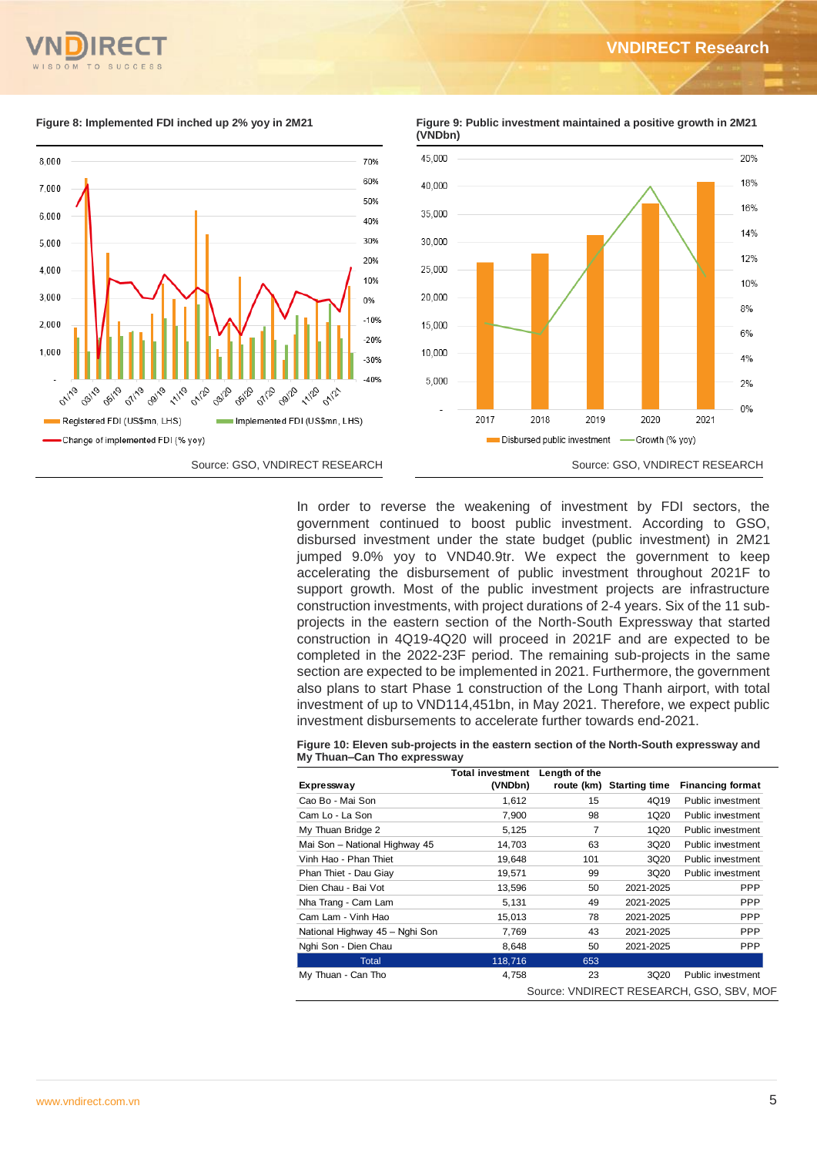









In order to reverse the weakening of investment by FDI sectors, the government continued to boost public investment. According to GSO, disbursed investment under the state budget (public investment) in 2M21 jumped 9.0% yoy to VND40.9tr. We expect the government to keep accelerating the disbursement of public investment throughout 2021F to support growth. Most of the public investment projects are infrastructure construction investments, with project durations of 2-4 years. Six of the 11 subprojects in the eastern section of the North-South Expressway that started construction in 4Q19-4Q20 will proceed in 2021F and are expected to be completed in the 2022-23F period. The remaining sub-projects in the same section are expected to be implemented in 2021. Furthermore, the government also plans to start Phase 1 construction of the Long Thanh airport, with total investment of up to VND114,451bn, in May 2021. Therefore, we expect public investment disbursements to accelerate further towards end-2021.

| Figure 10: Eleven sub-projects in the eastern section of the North-South expressway and |  |
|-----------------------------------------------------------------------------------------|--|
| My Thuan–Can Tho expressway                                                             |  |

|                                | <b>Total investment</b> | Length of the  |                          |                                          |
|--------------------------------|-------------------------|----------------|--------------------------|------------------------------------------|
| Expressway                     | (VNDbn)                 |                | route (km) Starting time | <b>Financing format</b>                  |
| Cao Bo - Mai Son               | 1,612                   | 15             | 4Q19                     | Public investment                        |
| Cam Lo - La Son                | 7,900                   | 98             | 1Q20                     | Public investment                        |
| My Thuan Bridge 2              | 5,125                   | $\overline{7}$ | 1Q20                     | Public investment                        |
| Mai Son - National Highway 45  | 14,703                  | 63             | 3Q20                     | Public investment                        |
| Vinh Hao - Phan Thiet          | 19,648                  | 101            | 3Q20                     | Public investment                        |
| Phan Thiet - Dau Giay          | 19,571                  | 99             | 3Q20                     | Public investment                        |
| Dien Chau - Bai Vot            | 13,596                  | 50             | 2021-2025                | <b>PPP</b>                               |
| Nha Trang - Cam Lam            | 5,131                   | 49             | 2021-2025                | <b>PPP</b>                               |
| Cam Lam - Vinh Hao             | 15,013                  | 78             | 2021-2025                | <b>PPP</b>                               |
| National Highway 45 - Nghi Son | 7,769                   | 43             | 2021-2025                | <b>PPP</b>                               |
| Nghi Son - Dien Chau           | 8,648                   | 50             | 2021-2025                | <b>PPP</b>                               |
| Total                          | 118,716                 | 653            |                          |                                          |
| My Thuan - Can Tho             | 4,758                   | 23             | 3Q20                     | Public investment                        |
|                                |                         |                |                          | Source: VNDIRECT RESEARCH, GSO, SBV, MOF |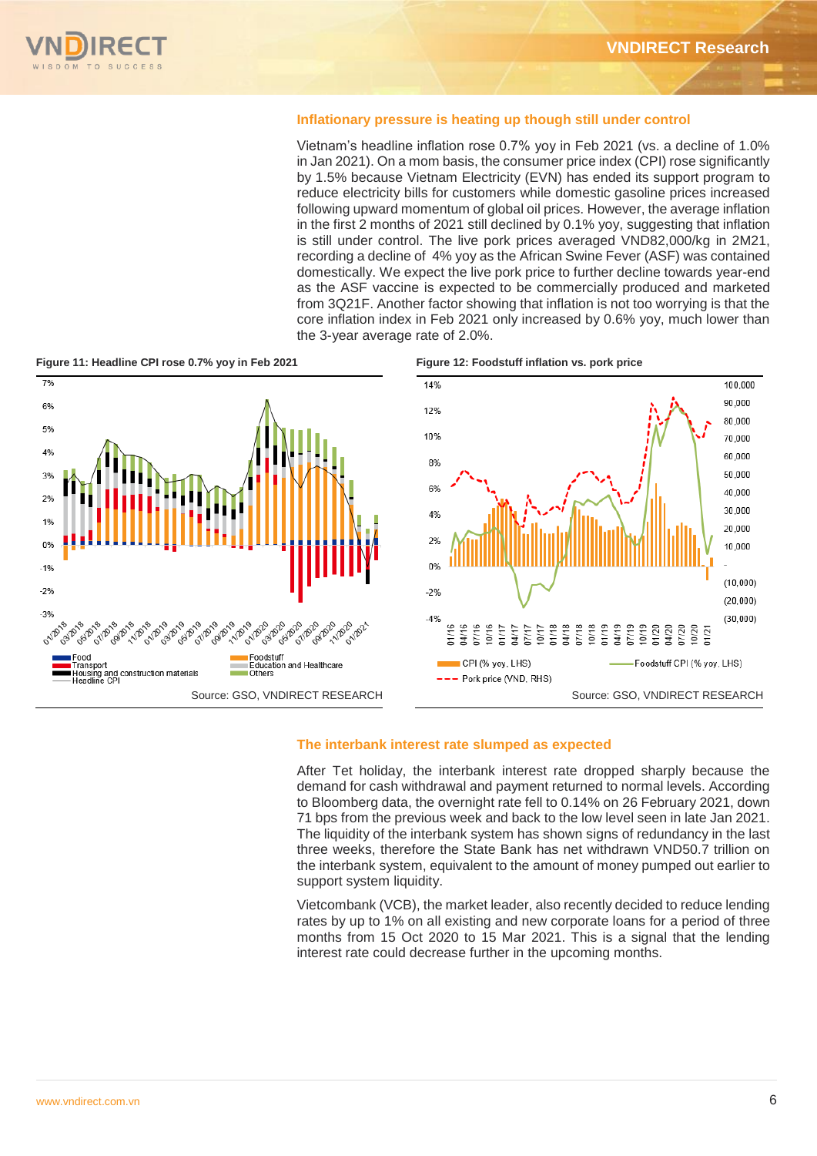# **Inflationary pressure is heating up though still under control**

Vietnam's headline inflation rose 0.7% yoy in Feb 2021 (vs. a decline of 1.0% in Jan 2021). On a mom basis, the consumer price index (CPI) rose significantly by 1.5% because Vietnam Electricity (EVN) has ended its support program to reduce electricity bills for customers while domestic gasoline prices increased following upward momentum of global oil prices. However, the average inflation in the first 2 months of 2021 still declined by 0.1% yoy, suggesting that inflation is still under control. The live pork prices averaged VND82,000/kg in 2M21, recording a decline of 4% yoy as the African Swine Fever (ASF) was contained domestically. We expect the live pork price to further decline towards year-end as the ASF vaccine is expected to be commercially produced and marketed from 3Q21F. Another factor showing that inflation is not too worrying is that the core inflation index in Feb 2021 only increased by 0.6% yoy, much lower than the 3-year average rate of 2.0%.



#### **The interbank interest rate slumped as expected**

After Tet holiday, the interbank interest rate dropped sharply because the demand for cash withdrawal and payment returned to normal levels. According to Bloomberg data, the overnight rate fell to 0.14% on 26 February 2021, down 71 bps from the previous week and back to the low level seen in late Jan 2021. The liquidity of the interbank system has shown signs of redundancy in the last three weeks, therefore the State Bank has net withdrawn VND50.7 trillion on the interbank system, equivalent to the amount of money pumped out earlier to support system liquidity.

Vietcombank (VCB), the market leader, also recently decided to reduce lending rates by up to 1% on all existing and new corporate loans for a period of three months from 15 Oct 2020 to 15 Mar 2021. This is a signal that the lending interest rate could decrease further in the upcoming months.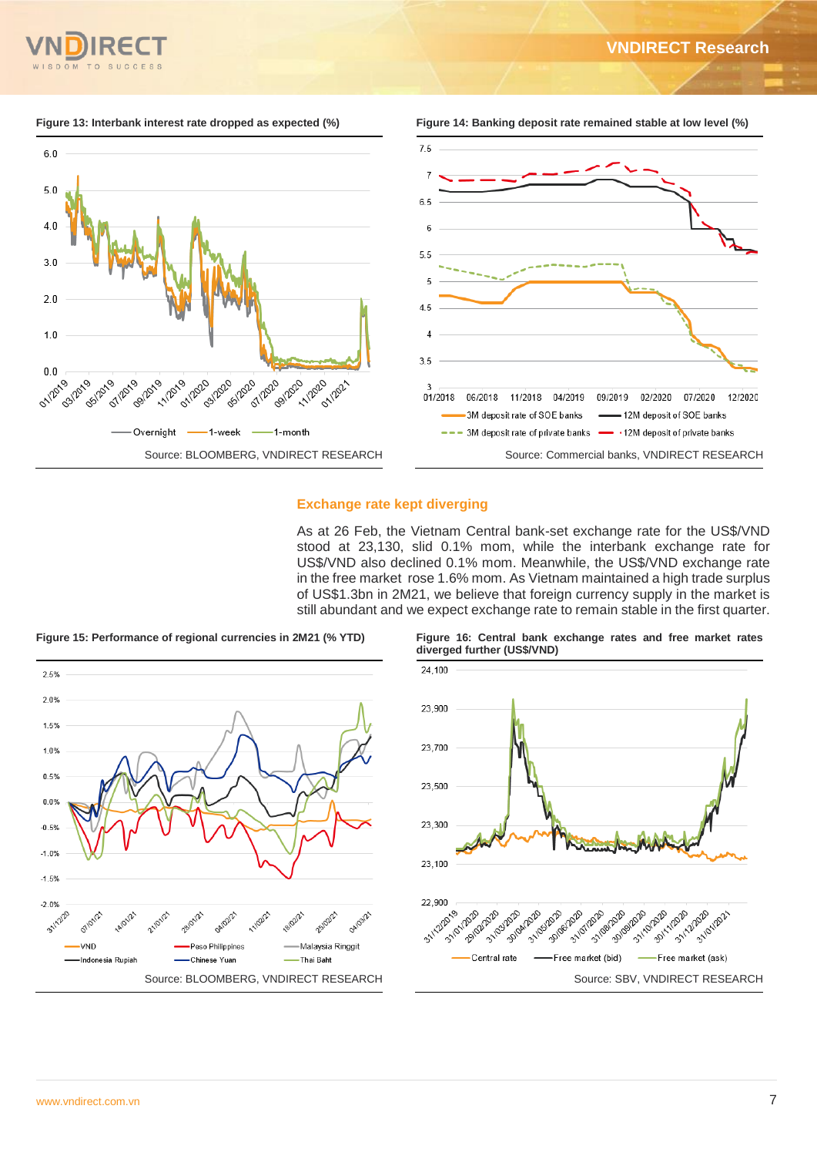

12/2020

**Figure 13: Interbank interest rate dropped as expected (%) Figure 14: Banking deposit rate remained stable at low level (%)** 



# **Exchange rate kept diverging**

As at 26 Feb, the Vietnam Central bank-set exchange rate for the US\$/VND stood at 23,130, slid 0.1% mom, while the interbank exchange rate for US\$/VND also declined 0.1% mom. Meanwhile, the US\$/VND exchange rate in the free market rose 1.6% mom. As Vietnam maintained a high trade surplus of US\$1.3bn in 2M21, we believe that foreign currency supply in the market is still abundant and we expect exchange rate to remain stable in the first quarter.



**Figure 15: Performance of regional currencies in 2M21 (% YTD) Figure 16: Central bank exchange rates and free market rates diverged further (US\$/VND)**

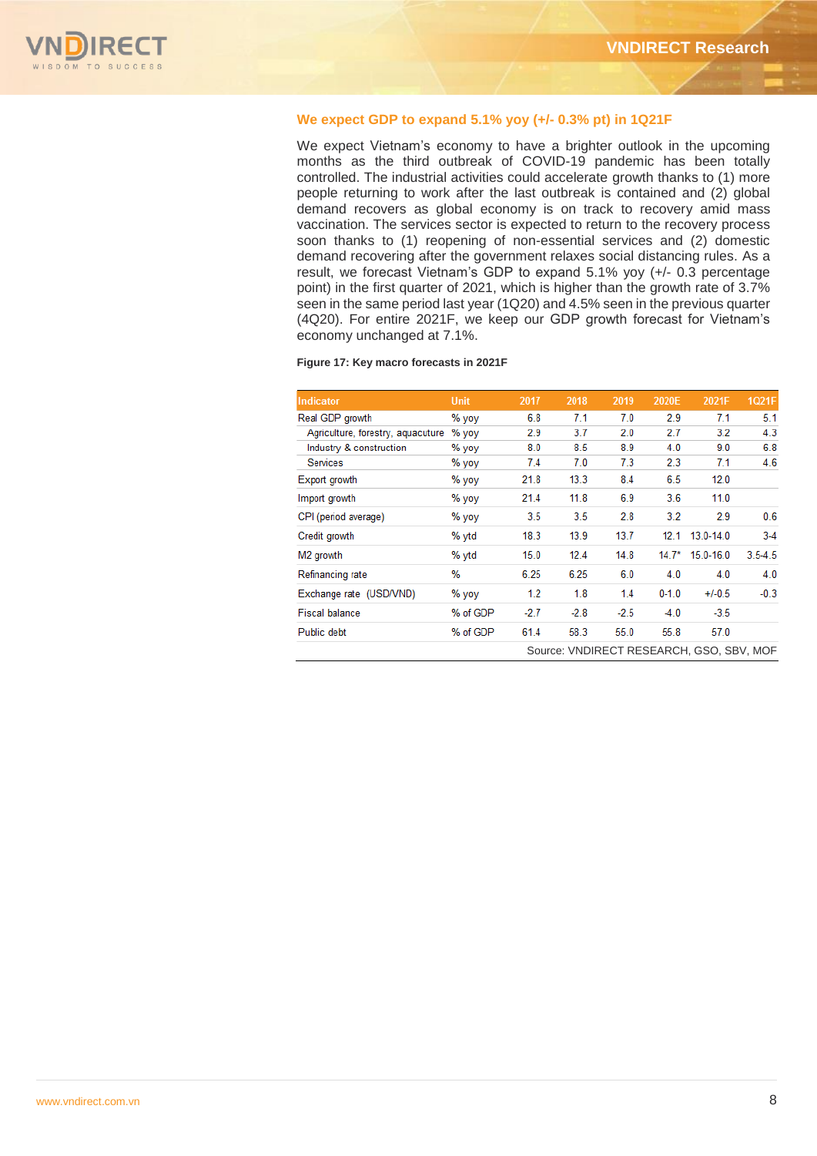

# **We expect GDP to expand 5.1% yoy (+/- 0.3% pt) in 1Q21F**

We expect Vietnam's economy to have a brighter outlook in the upcoming months as the third outbreak of COVID-19 pandemic has been totally controlled. The industrial activities could accelerate growth thanks to (1) more people returning to work after the last outbreak is contained and (2) global demand recovers as global economy is on track to recovery amid mass vaccination. The services sector is expected to return to the recovery process soon thanks to (1) reopening of non-essential services and (2) domestic demand recovering after the government relaxes social distancing rules. As a result, we forecast Vietnam's GDP to expand 5.1% yoy (+/- 0.3 percentage point) in the first quarter of 2021, which is higher than the growth rate of 3.7% seen in the same period last year (1Q20) and 4.5% seen in the previous quarter (4Q20). For entire 2021F, we keep our GDP growth forecast for Vietnam's economy unchanged at 7.1%.

#### **Figure 17: Key macro forecasts in 2021F**

| Indicator                         | <b>Unit</b> | 2017   | 2018   | 2019   | 2020E     | 2021F                                    | 1Q21F       |
|-----------------------------------|-------------|--------|--------|--------|-----------|------------------------------------------|-------------|
| Real GDP growth                   | % yoy       | 6.8    | 7.1    | 7.0    | 2.9       | 7.1                                      | 5.1         |
| Agriculture, forestry, aquacuture | % yoy       | 2.9    | 3.7    | 2.0    | 2.7       | 3.2                                      | 4.3         |
| Industry & construction           | % yoy       | 8.0    | 8.5    | 8.9    | 4.0       | 9.0                                      | 6.8         |
| <b>Services</b>                   | % yoy       | 7.4    | 7.0    | 7.3    | 2.3       | 7.1                                      | 4.6         |
| Export growth                     | % yoy       | 21.8   | 13.3   | 8.4    | 6.5       | 12.0                                     |             |
| Import growth                     | % yoy       | 21.4   | 11.8   | 6.9    | 3.6       | 11.0                                     |             |
| CPI (period average)              | % yoy       | 3.5    | 3.5    | 2.8    | 3.2       | 2.9                                      | 0.6         |
| Credit growth                     | % vtd       | 18.3   | 13.9   | 13.7   | 12.1      | $13.0 - 14.0$                            | $3-4$       |
| M <sub>2</sub> growth             | % ytd       | 15.0   | 12.4   | 14.8   | $14.7*$   | $15.0 - 16.0$                            | $3.5 - 4.5$ |
| Refinancing rate                  | %           | 6.25   | 6.25   | 6.0    | 4.0       | 4.0                                      | 4.0         |
| Exchange rate (USD/VND)           | % yoy       | 1.2    | 1.8    | 1.4    | $0 - 1.0$ | $+/-0.5$                                 | $-0.3$      |
| <b>Fiscal balance</b>             | % of GDP    | $-2.7$ | $-2.8$ | $-2.5$ | $-4.0$    | $-3.5$                                   |             |
| Public debt                       | % of GDP    | 61.4   | 58.3   | 55.0   | 55.8      | 57.0                                     |             |
|                                   |             |        |        |        |           | Source: VNDIRECT RESEARCH, GSO, SBV, MOF |             |